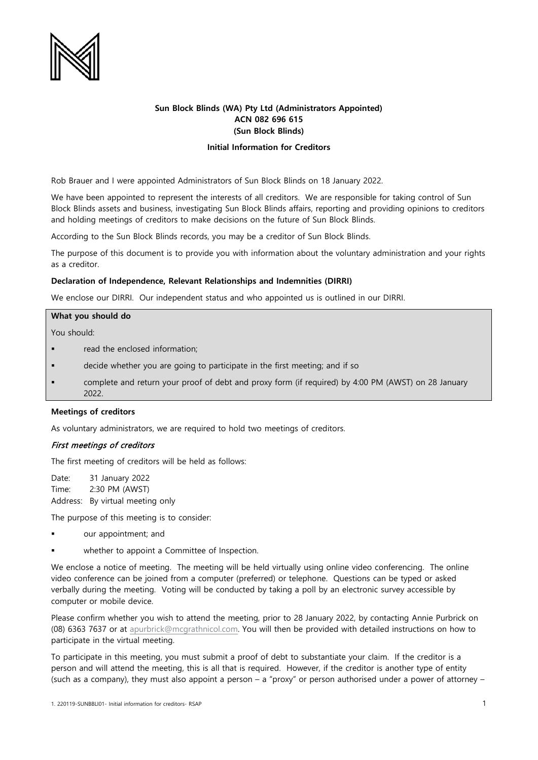

# **Sun Block Blinds (WA) Pty Ltd (Administrators Appointed) ACN 082 696 615 (Sun Block Blinds)**

## **Initial Information for Creditors**

Rob Brauer and I were appointed Administrators of Sun Block Blinds on 18 January 2022.

We have been appointed to represent the interests of all creditors. We are responsible for taking control of Sun Block Blinds assets and business, investigating Sun Block Blinds affairs, reporting and providing opinions to creditors and holding meetings of creditors to make decisions on the future of Sun Block Blinds.

According to the Sun Block Blinds records, you may be a creditor of Sun Block Blinds.

The purpose of this document is to provide you with information about the voluntary administration and your rights as a creditor.

## **Declaration of Independence, Relevant Relationships and Indemnities (DIRRI)**

We enclose our DIRRI. Our independent status and who appointed us is outlined in our DIRRI.

#### **What you should do**

You should:

- read the enclosed information;
- decide whether you are going to participate in the first meeting; and if so
- complete and return your proof of debt and proxy form (if required) by 4:00 PM (AWST) on 28 January 2022.

#### **Meetings of creditors**

As voluntary administrators, we are required to hold two meetings of creditors.

## First meetings of creditors

The first meeting of creditors will be held as follows:

Date: 31 January 2022 Time: 2:30 PM (AWST) Address: By virtual meeting only

The purpose of this meeting is to consider:

- our appointment; and
- whether to appoint a Committee of Inspection.

We enclose a notice of meeting. The meeting will be held virtually using online video conferencing. The online video conference can be joined from a computer (preferred) or telephone. Questions can be typed or asked verbally during the meeting. Voting will be conducted by taking a poll by an electronic survey accessible by computer or mobile device.

Please confirm whether you wish to attend the meeting, prior to 28 January 2022, by contacting Annie Purbrick on (08) 6363 7637 or at [apurbrick@mcgrathnicol.com.](mailto:apurbrick@mcgrathnicol.com) You will then be provided with detailed instructions on how to participate in the virtual meeting.

To participate in this meeting, you must submit a proof of debt to substantiate your claim. If the creditor is a person and will attend the meeting, this is all that is required. However, if the creditor is another type of entity (such as a company), they must also appoint a person  $-$  a "proxy" or person authorised under a power of attorney  $-$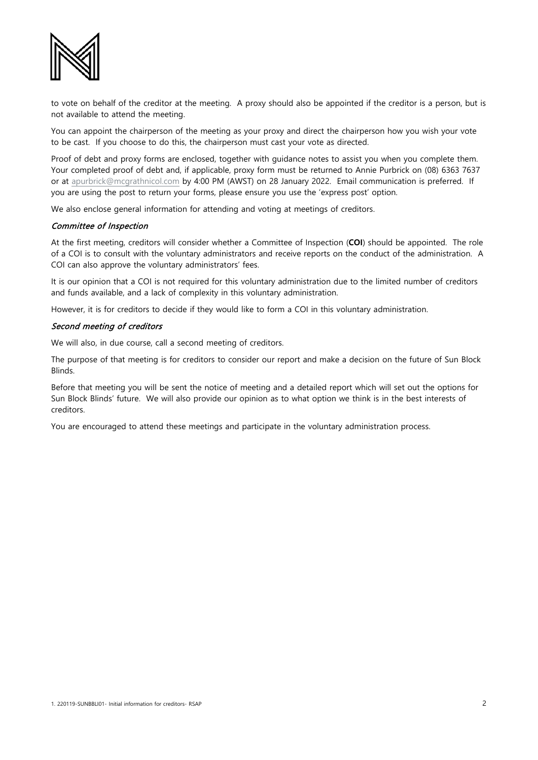

to vote on behalf of the creditor at the meeting. A proxy should also be appointed if the creditor is a person, but is not available to attend the meeting.

You can appoint the chairperson of the meeting as your proxy and direct the chairperson how you wish your vote to be cast. If you choose to do this, the chairperson must cast your vote as directed.

Proof of debt and proxy forms are enclosed, together with guidance notes to assist you when you complete them. Your completed proof of debt and, if applicable, proxy form must be returned to Annie Purbrick on (08) 6363 7637 or at [apurbrick@mcgrathnicol.com](mailto:apurbrick@mcgrathnicol.com) by 4:00 PM (AWST) on 28 January 2022. Email communication is preferred. If you are using the post to return your forms, please ensure you use the 'express post' option.

We also enclose general information for attending and voting at meetings of creditors.

## Committee of Inspection

At the first meeting, creditors will consider whether a Committee of Inspection (**COI**) should be appointed. The role of a COI is to consult with the voluntary administrators and receive reports on the conduct of the administration. A COI can also approve the voluntary administrators' fees.

It is our opinion that a COI is not required for this voluntary administration due to the limited number of creditors and funds available, and a lack of complexity in this voluntary administration.

However, it is for creditors to decide if they would like to form a COI in this voluntary administration.

## Second meeting of creditors

We will also, in due course, call a second meeting of creditors.

The purpose of that meeting is for creditors to consider our report and make a decision on the future of Sun Block Blinds.

Before that meeting you will be sent the notice of meeting and a detailed report which will set out the options for Sun Block Blinds' future. We will also provide our opinion as to what option we think is in the best interests of creditors.

You are encouraged to attend these meetings and participate in the voluntary administration process.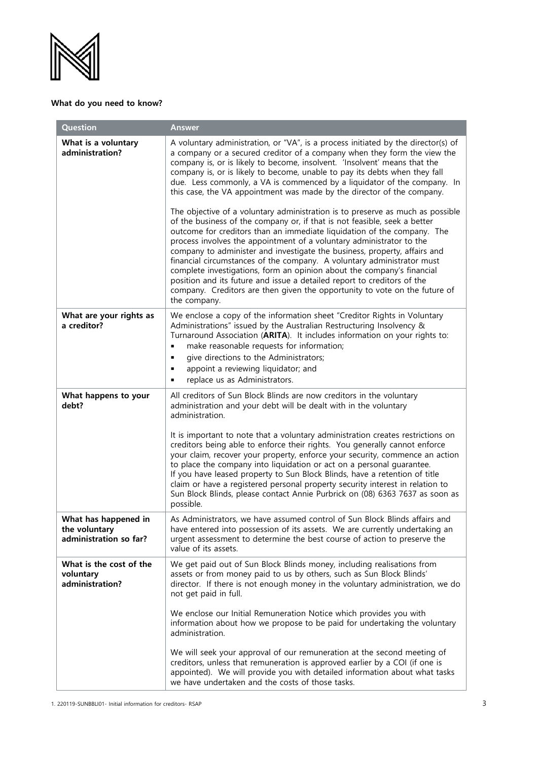

# **What do you need to know?**

| <b>Question</b>                                                 | <b>Answer</b>                                                                                                                                                                                                                                                                                                                                                                                                                                                                                                                                                                                                                                                                                                                                                                                                                                                                                                                                                                                                                                                                                                                                                                                              |
|-----------------------------------------------------------------|------------------------------------------------------------------------------------------------------------------------------------------------------------------------------------------------------------------------------------------------------------------------------------------------------------------------------------------------------------------------------------------------------------------------------------------------------------------------------------------------------------------------------------------------------------------------------------------------------------------------------------------------------------------------------------------------------------------------------------------------------------------------------------------------------------------------------------------------------------------------------------------------------------------------------------------------------------------------------------------------------------------------------------------------------------------------------------------------------------------------------------------------------------------------------------------------------------|
| What is a voluntary<br>administration?                          | A voluntary administration, or "VA", is a process initiated by the director(s) of<br>a company or a secured creditor of a company when they form the view the<br>company is, or is likely to become, insolvent. 'Insolvent' means that the<br>company is, or is likely to become, unable to pay its debts when they fall<br>due. Less commonly, a VA is commenced by a liquidator of the company. In<br>this case, the VA appointment was made by the director of the company.<br>The objective of a voluntary administration is to preserve as much as possible<br>of the business of the company or, if that is not feasible, seek a better<br>outcome for creditors than an immediate liquidation of the company. The<br>process involves the appointment of a voluntary administrator to the<br>company to administer and investigate the business, property, affairs and<br>financial circumstances of the company. A voluntary administrator must<br>complete investigations, form an opinion about the company's financial<br>position and its future and issue a detailed report to creditors of the<br>company. Creditors are then given the opportunity to vote on the future of<br>the company. |
| What are your rights as<br>a creditor?                          | We enclose a copy of the information sheet "Creditor Rights in Voluntary<br>Administrations" issued by the Australian Restructuring Insolvency &<br>Turnaround Association (ARITA). It includes information on your rights to:<br>make reasonable requests for information;<br>$\blacksquare$<br>give directions to the Administrators;<br>٠<br>appoint a reviewing liquidator; and<br>٠<br>replace us as Administrators.<br>٠                                                                                                                                                                                                                                                                                                                                                                                                                                                                                                                                                                                                                                                                                                                                                                             |
| What happens to your<br>debt?                                   | All creditors of Sun Block Blinds are now creditors in the voluntary<br>administration and your debt will be dealt with in the voluntary<br>administration.<br>It is important to note that a voluntary administration creates restrictions on<br>creditors being able to enforce their rights. You generally cannot enforce<br>your claim, recover your property, enforce your security, commence an action<br>to place the company into liquidation or act on a personal guarantee.<br>If you have leased property to Sun Block Blinds, have a retention of title<br>claim or have a registered personal property security interest in relation to<br>Sun Block Blinds, please contact Annie Purbrick on (08) 6363 7637 as soon as<br>possible.                                                                                                                                                                                                                                                                                                                                                                                                                                                          |
| What has happened in<br>the voluntary<br>administration so far? | As Administrators, we have assumed control of Sun Block Blinds affairs and<br>have entered into possession of its assets. We are currently undertaking an<br>urgent assessment to determine the best course of action to preserve the<br>value of its assets.                                                                                                                                                                                                                                                                                                                                                                                                                                                                                                                                                                                                                                                                                                                                                                                                                                                                                                                                              |
| What is the cost of the<br>voluntary<br>administration?         | We get paid out of Sun Block Blinds money, including realisations from<br>assets or from money paid to us by others, such as Sun Block Blinds'<br>director. If there is not enough money in the voluntary administration, we do<br>not get paid in full.<br>We enclose our Initial Remuneration Notice which provides you with<br>information about how we propose to be paid for undertaking the voluntary<br>administration.<br>We will seek your approval of our remuneration at the second meeting of<br>creditors, unless that remuneration is approved earlier by a COI (if one is<br>appointed). We will provide you with detailed information about what tasks<br>we have undertaken and the costs of those tasks.                                                                                                                                                                                                                                                                                                                                                                                                                                                                                 |